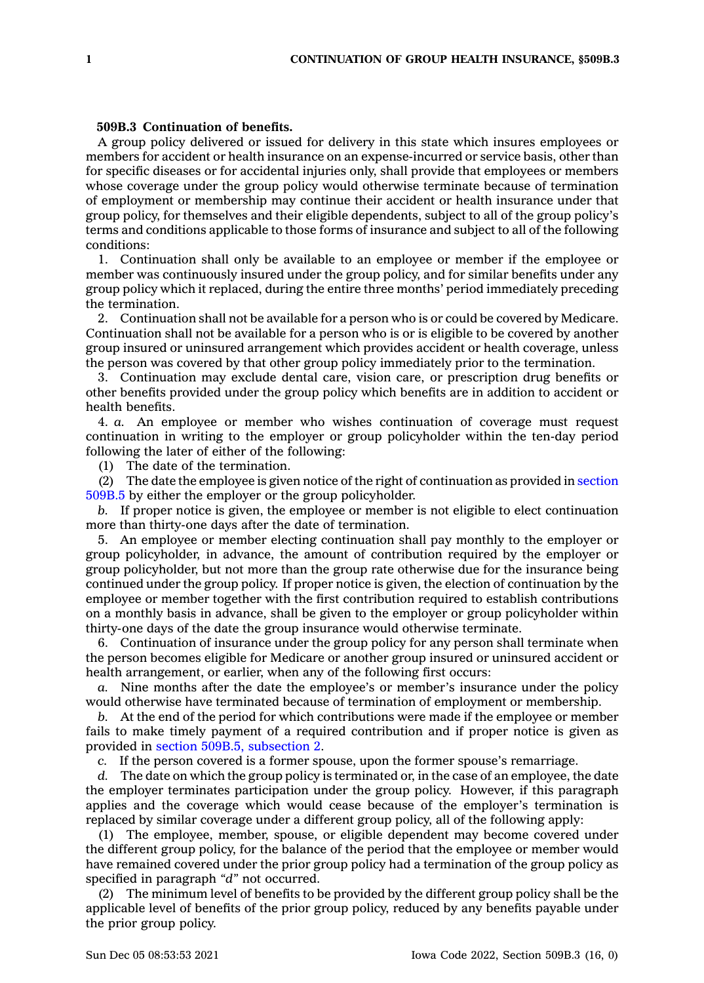## **509B.3 Continuation of benefits.**

A group policy delivered or issued for delivery in this state which insures employees or members for accident or health insurance on an expense-incurred or service basis, other than for specific diseases or for accidental injuries only, shall provide that employees or members whose coverage under the group policy would otherwise terminate because of termination of employment or membership may continue their accident or health insurance under that group policy, for themselves and their eligible dependents, subject to all of the group policy's terms and conditions applicable to those forms of insurance and subject to all of the following conditions:

1. Continuation shall only be available to an employee or member if the employee or member was continuously insured under the group policy, and for similar benefits under any group policy which it replaced, during the entire three months' period immediately preceding the termination.

2. Continuation shall not be available for <sup>a</sup> person who is or could be covered by Medicare. Continuation shall not be available for <sup>a</sup> person who is or is eligible to be covered by another group insured or uninsured arrangement which provides accident or health coverage, unless the person was covered by that other group policy immediately prior to the termination.

3. Continuation may exclude dental care, vision care, or prescription drug benefits or other benefits provided under the group policy which benefits are in addition to accident or health benefits.

4. *a.* An employee or member who wishes continuation of coverage must request continuation in writing to the employer or group policyholder within the ten-day period following the later of either of the following:

(1) The date of the termination.

(2) The date the employee is given notice of the right of continuation as provided in [section](https://www.legis.iowa.gov/docs/code/509B.5.pdf) [509B.5](https://www.legis.iowa.gov/docs/code/509B.5.pdf) by either the employer or the group policyholder.

*b.* If proper notice is given, the employee or member is not eligible to elect continuation more than thirty-one days after the date of termination.

5. An employee or member electing continuation shall pay monthly to the employer or group policyholder, in advance, the amount of contribution required by the employer or group policyholder, but not more than the group rate otherwise due for the insurance being continued under the group policy. If proper notice is given, the election of continuation by the employee or member together with the first contribution required to establish contributions on <sup>a</sup> monthly basis in advance, shall be given to the employer or group policyholder within thirty-one days of the date the group insurance would otherwise terminate.

6. Continuation of insurance under the group policy for any person shall terminate when the person becomes eligible for Medicare or another group insured or uninsured accident or health arrangement, or earlier, when any of the following first occurs:

*a.* Nine months after the date the employee's or member's insurance under the policy would otherwise have terminated because of termination of employment or membership.

*b.* At the end of the period for which contributions were made if the employee or member fails to make timely payment of <sup>a</sup> required contribution and if proper notice is given as provided in section 509B.5, [subsection](https://www.legis.iowa.gov/docs/code/509B.5.pdf) 2.

*c.* If the person covered is <sup>a</sup> former spouse, upon the former spouse's remarriage.

*d.* The date on which the group policy is terminated or, in the case of an employee, the date the employer terminates participation under the group policy. However, if this paragraph applies and the coverage which would cease because of the employer's termination is replaced by similar coverage under <sup>a</sup> different group policy, all of the following apply:

(1) The employee, member, spouse, or eligible dependent may become covered under the different group policy, for the balance of the period that the employee or member would have remained covered under the prior group policy had <sup>a</sup> termination of the group policy as specified in paragraph *"d"* not occurred.

(2) The minimum level of benefits to be provided by the different group policy shall be the applicable level of benefits of the prior group policy, reduced by any benefits payable under the prior group policy.